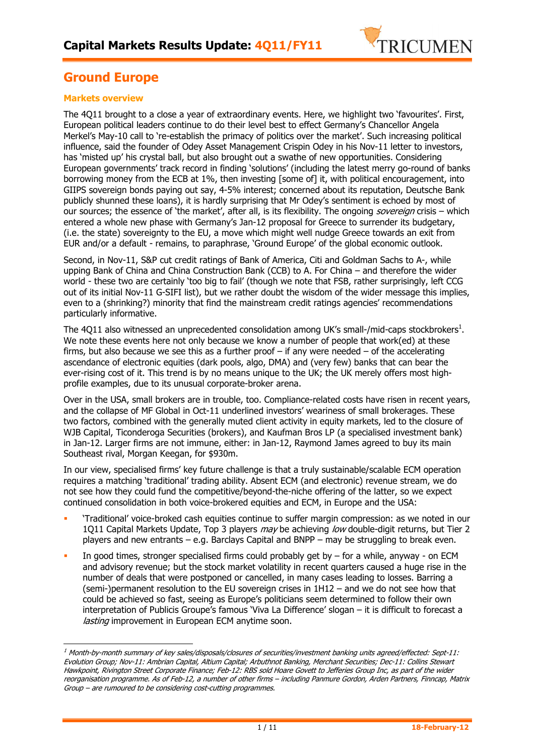

## **Ground Europe**

### **Markets overview**

 $\overline{a}$ 

The 4Q11 brought to a close a year of extraordinary events. Here, we highlight two 'favourites'. First, European political leaders continue to do their level best to effect Germany's Chancellor Angela Merkel's May-10 call to 're-establish the primacy of politics over the market'. Such increasing political influence, said the founder of Odey Asset Management Crispin Odey in his Nov-11 letter to investors, has 'misted up' his crystal ball, but also brought out a swathe of new opportunities. Considering European governments' track record in finding 'solutions' (including the latest merry go-round of banks borrowing money from the ECB at 1%, then investing [some of] it, with political encouragement, into GIIPS sovereign bonds paying out say, 4-5% interest; concerned about its reputation, Deutsche Bank publicly shunned these loans), it is hardly surprising that Mr Odey's sentiment is echoed by most of our sources; the essence of 'the market', after all, is its flexibility. The ongoing *sovereign* crisis – which entered a whole new phase with Germany's Jan-12 proposal for Greece to surrender its budgetary, (i.e. the state) sovereignty to the EU, a move which might well nudge Greece towards an exit from EUR and/or a default - remains, to paraphrase, 'Ground Europe' of the global economic outlook.

Second, in Nov-11, S&P cut credit ratings of Bank of America, Citi and Goldman Sachs to A-, while upping Bank of China and China Construction Bank (CCB) to A. For China – and therefore the wider world - these two are certainly 'too big to fail' (though we note that FSB, rather surprisingly, left CCG out of its initial Nov-11 G-SIFI list), but we rather doubt the wisdom of the wider message this implies, even to a (shrinking?) minority that find the mainstream credit ratings agencies' recommendations particularly informative.

The 4Q11 also witnessed an unprecedented consolidation among UK's small-/mid-caps stockbrokers<sup>1</sup>. We note these events here not only because we know a number of people that work(ed) at these firms, but also because we see this as a further proof  $-$  if any were needed  $-$  of the accelerating ascendance of electronic equities (dark pools, algo, DMA) and (very few) banks that can bear the ever-rising cost of it. This trend is by no means unique to the UK; the UK merely offers most highprofile examples, due to its unusual corporate-broker arena.

Over in the USA, small brokers are in trouble, too. Compliance-related costs have risen in recent years, and the collapse of MF Global in Oct-11 underlined investors' weariness of small brokerages. These two factors, combined with the generally muted client activity in equity markets, led to the closure of WJB Capital, Ticonderoga Securities (brokers), and Kaufman Bros LP (a specialised investment bank) in Jan-12. Larger firms are not immune, either: in Jan-12, Raymond James agreed to buy its main Southeast rival, Morgan Keegan, for \$930m.

In our view, specialised firms' key future challenge is that a truly sustainable/scalable ECM operation requires a matching 'traditional' trading ability. Absent ECM (and electronic) revenue stream, we do not see how they could fund the competitive/beyond-the-niche offering of the latter, so we expect continued consolidation in both voice-brokered equities and ECM, in Europe and the USA:

- 'Traditional' voice-broked cash equities continue to suffer margin compression: as we noted in our 1011 Capital Markets Update, Top 3 players *may* be achieving low double-digit returns, but Tier 2 players and new entrants – e.g. Barclays Capital and BNPP – may be struggling to break even.
- In good times, stronger specialised firms could probably get by  $-$  for a while, anyway on ECM and advisory revenue; but the stock market volatility in recent quarters caused a huge rise in the number of deals that were postponed or cancelled, in many cases leading to losses. Barring a (semi-)permanent resolution to the EU sovereign crises in 1H12 – and we do not see how that could be achieved so fast, seeing as Europe's politicians seem determined to follow their own interpretation of Publicis Groupe's famous 'Viva La Difference' slogan – it is difficult to forecast a lasting improvement in European ECM anytime soon.

 $^{\rm 1}$  Month-by-month summary of key sales/disposals/closures of securities/investment banking units agreed/effected: Sept-11: Evolution Group; Nov-11: Ambrian Capital, Altium Capital; Arbuthnot Banking, Merchant Securities; Dec-11: Collins Stewart Hawkpoint, Rivington Street Corporate Finance; Feb-12: RBS sold Hoare Govett to Jefferies Group Inc, as part of the wider reorganisation programme. As of Feb-12, a number of other firms – including Panmure Gordon, Arden Partners, Finncap, Matrix Group – are rumoured to be considering cost-cutting programmes.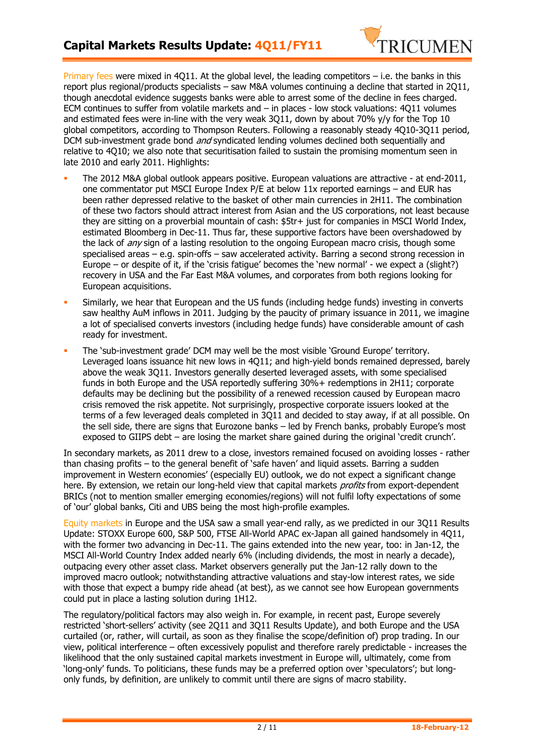

Primary fees were mixed in 4Q11. At the global level, the leading competitors – i.e. the banks in this report plus regional/products specialists – saw M&A volumes continuing a decline that started in 2Q11, though anecdotal evidence suggests banks were able to arrest some of the decline in fees charged. ECM continues to suffer from volatile markets and – in places - low stock valuations: 4Q11 volumes and estimated fees were in-line with the very weak 3Q11, down by about 70% y/y for the Top 10 global competitors, according to Thompson Reuters. Following a reasonably steady 4Q10-3Q11 period, DCM sub-investment grade bond *and* syndicated lending volumes declined both sequentially and relative to 4Q10; we also note that securitisation failed to sustain the promising momentum seen in late 2010 and early 2011. Highlights:

- The 2012 M&A global outlook appears positive. European valuations are attractive at end-2011, one commentator put MSCI Europe Index P/E at below 11x reported earnings – and EUR has been rather depressed relative to the basket of other main currencies in 2H11. The combination of these two factors should attract interest from Asian and the US corporations, not least because they are sitting on a proverbial mountain of cash: \$5tr+ just for companies in MSCI World Index, estimated Bloomberg in Dec-11. Thus far, these supportive factors have been overshadowed by the lack of *any* sign of a lasting resolution to the ongoing European macro crisis, though some specialised areas – e.g. spin-offs – saw accelerated activity. Barring a second strong recession in Europe – or despite of it, if the 'crisis fatigue' becomes the 'new normal' - we expect a (slight?) recovery in USA and the Far East M&A volumes, and corporates from both regions looking for European acquisitions.
- Similarly, we hear that European and the US funds (including hedge funds) investing in converts saw healthy AuM inflows in 2011. Judging by the paucity of primary issuance in 2011, we imagine a lot of specialised converts investors (including hedge funds) have considerable amount of cash ready for investment.
- The 'sub-investment grade' DCM may well be the most visible 'Ground Europe' territory. Leveraged loans issuance hit new lows in 4Q11; and high-yield bonds remained depressed, barely above the weak 3Q11. Investors generally deserted leveraged assets, with some specialised funds in both Europe and the USA reportedly suffering 30%+ redemptions in 2H11; corporate defaults may be declining but the possibility of a renewed recession caused by European macro crisis removed the risk appetite. Not surprisingly, prospective corporate issuers looked at the terms of a few leveraged deals completed in 3Q11 and decided to stay away, if at all possible. On the sell side, there are signs that Eurozone banks – led by French banks, probably Europe's most exposed to GIIPS debt – are losing the market share gained during the original 'credit crunch'.

In secondary markets, as 2011 drew to a close, investors remained focused on avoiding losses - rather than chasing profits – to the general benefit of 'safe haven' and liquid assets. Barring a sudden improvement in Western economies' (especially EU) outlook, we do not expect a significant change here. By extension, we retain our long-held view that capital markets *profits* from export-dependent BRICs (not to mention smaller emerging economies/regions) will not fulfil lofty expectations of some of 'our' global banks, Citi and UBS being the most high-profile examples.

Equity markets in Europe and the USA saw a small year-end rally, as we predicted in our 3Q11 Results Update: STOXX Europe 600, S&P 500, FTSE All-World APAC ex-Japan all gained handsomely in 4Q11, with the former two advancing in Dec-11. The gains extended into the new year, too: in Jan-12, the MSCI All-World Country Index added nearly 6% (including dividends, the most in nearly a decade), outpacing every other asset class. Market observers generally put the Jan-12 rally down to the improved macro outlook; notwithstanding attractive valuations and stay-low interest rates, we side with those that expect a bumpy ride ahead (at best), as we cannot see how European governments could put in place a lasting solution during 1H12.

The regulatory/political factors may also weigh in. For example, in recent past, Europe severely restricted 'short-sellers' activity (see 2Q11 and 3Q11 Results Update), and both Europe and the USA curtailed (or, rather, will curtail, as soon as they finalise the scope/definition of) prop trading. In our view, political interference – often excessively populist and therefore rarely predictable - increases the likelihood that the only sustained capital markets investment in Europe will, ultimately, come from 'long-only' funds. To politicians, these funds may be a preferred option over 'speculators'; but longonly funds, by definition, are unlikely to commit until there are signs of macro stability.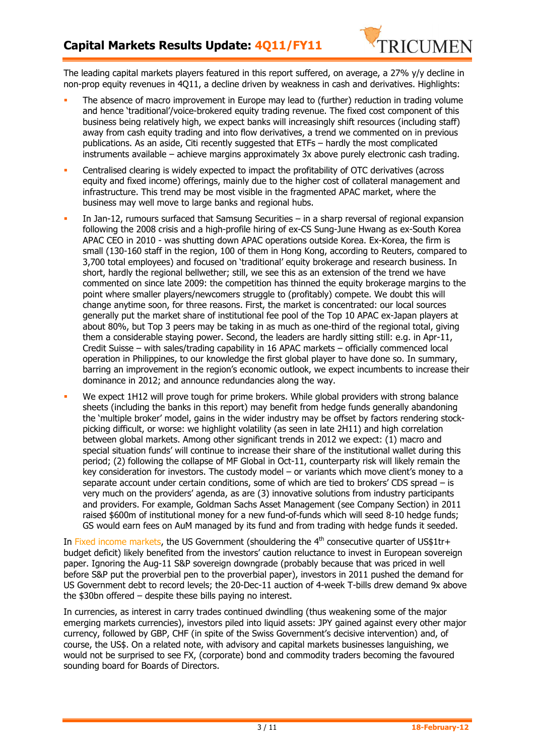

The leading capital markets players featured in this report suffered, on average, a 27% y/y decline in non-prop equity revenues in 4Q11, a decline driven by weakness in cash and derivatives. Highlights:

- The absence of macro improvement in Europe may lead to (further) reduction in trading volume and hence 'traditional'/voice-brokered equity trading revenue. The fixed cost component of this business being relatively high, we expect banks will increasingly shift resources (including staff) away from cash equity trading and into flow derivatives, a trend we commented on in previous publications. As an aside, Citi recently suggested that ETFs – hardly the most complicated instruments available – achieve margins approximately 3x above purely electronic cash trading.
- Centralised clearing is widely expected to impact the profitability of OTC derivatives (across equity and fixed income) offerings, mainly due to the higher cost of collateral management and infrastructure. This trend may be most visible in the fragmented APAC market, where the business may well move to large banks and regional hubs.
- In Jan-12, rumours surfaced that Samsung Securities in a sharp reversal of regional expansion following the 2008 crisis and a high-profile hiring of ex-CS Sung-June Hwang as ex-South Korea APAC CEO in 2010 - was shutting down APAC operations outside Korea. Ex-Korea, the firm is small (130-160 staff in the region, 100 of them in Hong Kong, according to Reuters, compared to 3,700 total employees) and focused on 'traditional' equity brokerage and research business. In short, hardly the regional bellwether; still, we see this as an extension of the trend we have commented on since late 2009: the competition has thinned the equity brokerage margins to the point where smaller players/newcomers struggle to (profitably) compete. We doubt this will change anytime soon, for three reasons. First, the market is concentrated: our local sources generally put the market share of institutional fee pool of the Top 10 APAC ex-Japan players at about 80%, but Top 3 peers may be taking in as much as one-third of the regional total, giving them a considerable staying power. Second, the leaders are hardly sitting still: e.g. in Apr-11, Credit Suisse – with sales/trading capability in 16 APAC markets – officially commenced local operation in Philippines, to our knowledge the first global player to have done so. In summary, barring an improvement in the region's economic outlook, we expect incumbents to increase their dominance in 2012; and announce redundancies along the way.
- We expect 1H12 will prove tough for prime brokers. While global providers with strong balance sheets (including the banks in this report) may benefit from hedge funds generally abandoning the 'multiple broker' model, gains in the wider industry may be offset by factors rendering stockpicking difficult, or worse: we highlight volatility (as seen in late 2H11) and high correlation between global markets. Among other significant trends in 2012 we expect: (1) macro and special situation funds' will continue to increase their share of the institutional wallet during this period; (2) following the collapse of MF Global in Oct-11, counterparty risk will likely remain the key consideration for investors. The custody model – or variants which move client's money to a separate account under certain conditions, some of which are tied to brokers' CDS spread – is very much on the providers' agenda, as are (3) innovative solutions from industry participants and providers. For example, Goldman Sachs Asset Management (see Company Section) in 2011 raised \$600m of institutional money for a new fund-of-funds which will seed 8-10 hedge funds; GS would earn fees on AuM managed by its fund and from trading with hedge funds it seeded.

In Fixed income markets, the US Government (shouldering the  $4<sup>th</sup>$  consecutive quarter of US\$1tr+ budget deficit) likely benefited from the investors' caution reluctance to invest in European sovereign paper. Ignoring the Aug-11 S&P sovereign downgrade (probably because that was priced in well before S&P put the proverbial pen to the proverbial paper), investors in 2011 pushed the demand for US Government debt to record levels; the 20-Dec-11 auction of 4-week T-bills drew demand 9x above the \$30bn offered – despite these bills paying no interest.

In currencies, as interest in carry trades continued dwindling (thus weakening some of the major emerging markets currencies), investors piled into liquid assets: JPY gained against every other major currency, followed by GBP, CHF (in spite of the Swiss Government's decisive intervention) and, of course, the US\$. On a related note, with advisory and capital markets businesses languishing, we would not be surprised to see FX, (corporate) bond and commodity traders becoming the favoured sounding board for Boards of Directors.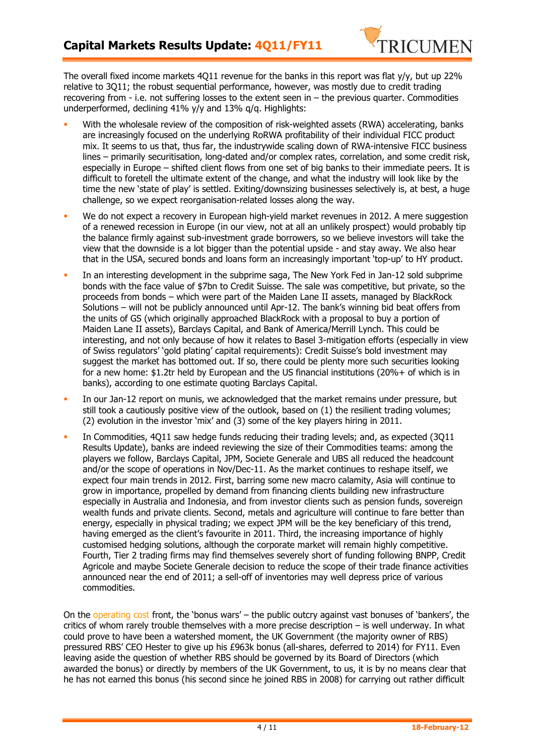

The overall fixed income markets 4Q11 revenue for the banks in this report was flat y/y, but up 22% relative to 3Q11; the robust sequential performance, however, was mostly due to credit trading recovering from - i.e. not suffering losses to the extent seen in – the previous quarter. Commodities underperformed, declining 41% y/y and 13% q/q. Highlights:

- With the wholesale review of the composition of risk-weighted assets (RWA) accelerating, banks are increasingly focused on the underlying RoRWA profitability of their individual FICC product mix. It seems to us that, thus far, the industrywide scaling down of RWA-intensive FICC business lines – primarily securitisation, long-dated and/or complex rates, correlation, and some credit risk, especially in Europe – shifted client flows from one set of big banks to their immediate peers. It is difficult to foretell the ultimate extent of the change, and what the industry will look like by the time the new 'state of play' is settled. Exiting/downsizing businesses selectively is, at best, a huge challenge, so we expect reorganisation-related losses along the way.
- We do not expect a recovery in European high-yield market revenues in 2012. A mere suggestion of a renewed recession in Europe (in our view, not at all an unlikely prospect) would probably tip the balance firmly against sub-investment grade borrowers, so we believe investors will take the view that the downside is a lot bigger than the potential upside - and stay away. We also hear that in the USA, secured bonds and loans form an increasingly important 'top-up' to HY product.
- In an interesting development in the subprime saga, The New York Fed in Jan-12 sold subprime bonds with the face value of \$7bn to Credit Suisse. The sale was competitive, but private, so the proceeds from bonds – which were part of the Maiden Lane II assets, managed by BlackRock Solutions – will not be publicly announced until Apr-12. The bank's winning bid beat offers from the units of GS (which originally approached BlackRock with a proposal to buy a portion of Maiden Lane II assets), Barclays Capital, and Bank of America/Merrill Lynch. This could be interesting, and not only because of how it relates to Basel 3-mitigation efforts (especially in view of Swiss regulators' 'gold plating' capital requirements): Credit Suisse's bold investment may suggest the market has bottomed out. If so, there could be plenty more such securities looking for a new home: \$1.2tr held by European and the US financial institutions (20%+ of which is in banks), according to one estimate quoting Barclays Capital.
- In our Jan-12 report on munis, we acknowledged that the market remains under pressure, but still took a cautiously positive view of the outlook, based on (1) the resilient trading volumes; (2) evolution in the investor 'mix' and (3) some of the key players hiring in 2011.
- In Commodities, 4Q11 saw hedge funds reducing their trading levels; and, as expected (3Q11 Results Update), banks are indeed reviewing the size of their Commodities teams: among the players we follow, Barclays Capital, JPM, Societe Generale and UBS all reduced the headcount and/or the scope of operations in Nov/Dec-11. As the market continues to reshape itself, we expect four main trends in 2012. First, barring some new macro calamity, Asia will continue to grow in importance, propelled by demand from financing clients building new infrastructure especially in Australia and Indonesia, and from investor clients such as pension funds, sovereign wealth funds and private clients. Second, metals and agriculture will continue to fare better than energy, especially in physical trading; we expect JPM will be the key beneficiary of this trend, having emerged as the client's favourite in 2011. Third, the increasing importance of highly customised hedging solutions, although the corporate market will remain highly competitive. Fourth, Tier 2 trading firms may find themselves severely short of funding following BNPP, Credit Agricole and maybe Societe Generale decision to reduce the scope of their trade finance activities announced near the end of 2011; a sell-off of inventories may well depress price of various commodities.

On the operating cost front, the 'bonus wars' – the public outcry against vast bonuses of 'bankers', the critics of whom rarely trouble themselves with a more precise description – is well underway. In what could prove to have been a watershed moment, the UK Government (the majority owner of RBS) pressured RBS' CEO Hester to give up his £963k bonus (all-shares, deferred to 2014) for FY11. Even leaving aside the question of whether RBS should be governed by its Board of Directors (which awarded the bonus) or directly by members of the UK Government, to us, it is by no means clear that he has not earned this bonus (his second since he joined RBS in 2008) for carrying out rather difficult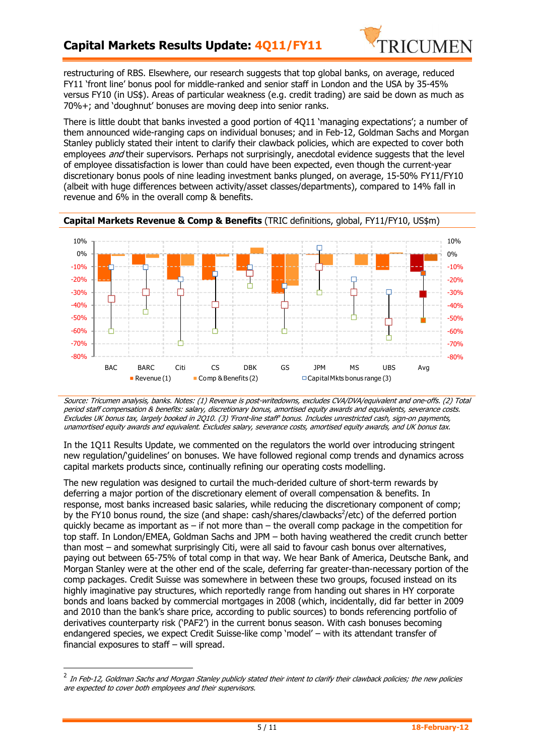

restructuring of RBS. Elsewhere, our research suggests that top global banks, on average, reduced FY11 'front line' bonus pool for middle-ranked and senior staff in London and the USA by 35-45% versus FY10 (in US\$). Areas of particular weakness (e.g. credit trading) are said be down as much as 70%+; and 'doughnut' bonuses are moving deep into senior ranks.

There is little doubt that banks invested a good portion of 4Q11 'managing expectations'; a number of them announced wide-ranging caps on individual bonuses; and in Feb-12, Goldman Sachs and Morgan Stanley publicly stated their intent to clarify their clawback policies, which are expected to cover both employees *and* their supervisors. Perhaps not surprisingly, anecdotal evidence suggests that the level of employee dissatisfaction is lower than could have been expected, even though the current-year discretionary bonus pools of nine leading investment banks plunged, on average, 15-50% FY11/FY10 (albeit with huge differences between activity/asset classes/departments), compared to 14% fall in revenue and 6% in the overall comp & benefits.



**Capital Markets Revenue & Comp & Benefits** (TRIC definitions, global, FY11/FY10, US\$m)

Source: Tricumen analysis, banks. Notes: (1) Revenue is post-writedowns, excludes CVA/DVA/equivalent and one-offs. (2) Total period staff compensation & benefits: salary, discretionary bonus, amortised equity awards and equivalents, severance costs. Excludes UK bonus tax, largely booked in 2Q10. (3) 'Front-line staff' bonus. Includes unrestricted cash, sign-on payments, unamortised equity awards and equivalent. Excludes salary, severance costs, amortised equity awards, and UK bonus tax.

In the 1Q11 Results Update, we commented on the regulators the world over introducing stringent new regulation/'guidelines' on bonuses. We have followed regional comp trends and dynamics across capital markets products since, continually refining our operating costs modelling.

The new regulation was designed to curtail the much-derided culture of short-term rewards by deferring a major portion of the discretionary element of overall compensation & benefits. In response, most banks increased basic salaries, while reducing the discretionary component of comp; by the FY10 bonus round, the size (and shape: cash/shares/clawbacks<sup>2</sup>/etc) of the deferred portion quickly became as important as – if not more than – the overall comp package in the competition for top staff. In London/EMEA, Goldman Sachs and JPM – both having weathered the credit crunch better than most – and somewhat surprisingly Citi, were all said to favour cash bonus over alternatives, paying out between 65-75% of total comp in that way. We hear Bank of America, Deutsche Bank, and Morgan Stanley were at the other end of the scale, deferring far greater-than-necessary portion of the comp packages. Credit Suisse was somewhere in between these two groups, focused instead on its highly imaginative pay structures, which reportedly range from handing out shares in HY corporate bonds and loans backed by commercial mortgages in 2008 (which, incidentally, did far better in 2009 and 2010 than the bank's share price, according to public sources) to bonds referencing portfolio of derivatives counterparty risk ('PAF2') in the current bonus season. With cash bonuses becoming endangered species, we expect Credit Suisse-like comp 'model' – with its attendant transfer of financial exposures to staff – will spread.

 $\overline{a}$ 

 $^2$  In Feb-12, Goldman Sachs and Morgan Stanley publicly stated their intent to clarify their clawback policies; the new policies are expected to cover both employees and their supervisors.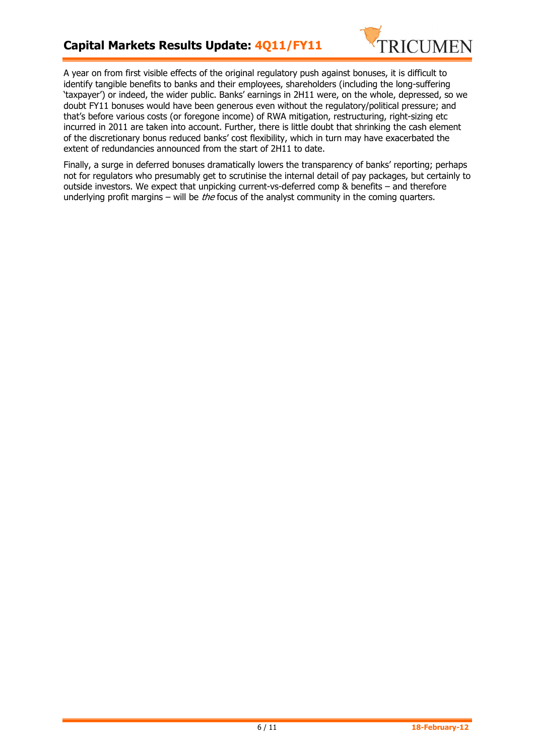

A year on from first visible effects of the original regulatory push against bonuses, it is difficult to identify tangible benefits to banks and their employees, shareholders (including the long-suffering 'taxpayer') or indeed, the wider public. Banks' earnings in 2H11 were, on the whole, depressed, so we doubt FY11 bonuses would have been generous even without the regulatory/political pressure; and that's before various costs (or foregone income) of RWA mitigation, restructuring, right-sizing etc incurred in 2011 are taken into account. Further, there is little doubt that shrinking the cash element of the discretionary bonus reduced banks' cost flexibility, which in turn may have exacerbated the extent of redundancies announced from the start of 2H11 to date.

Finally, a surge in deferred bonuses dramatically lowers the transparency of banks' reporting; perhaps not for regulators who presumably get to scrutinise the internal detail of pay packages, but certainly to outside investors. We expect that unpicking current-vs-deferred comp & benefits – and therefore underlying profit margins – will be *the* focus of the analyst community in the coming quarters.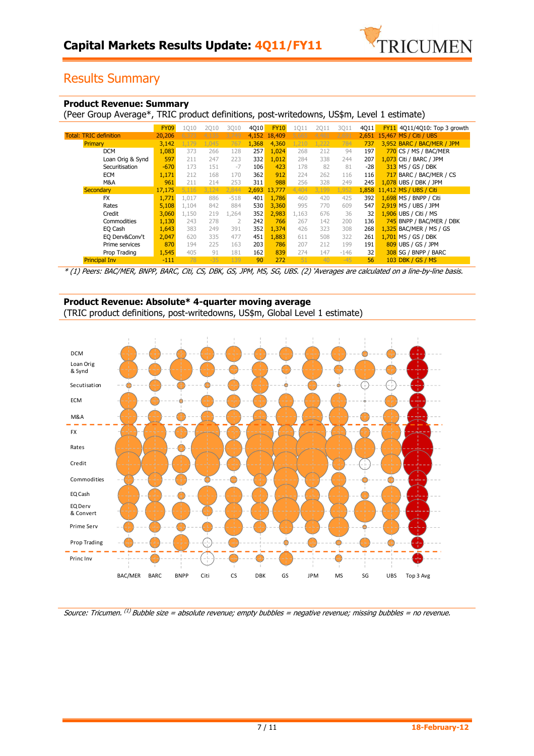

# Results Summary

#### **Product Revenue: Summary**

(Peer Group Average\*, TRIC product definitions, post-writedowns, US\$m, Level 1 estimate)

|                               | <b>FY09</b> | 1010  | 2010  | 3010           | 4Q10  | <b>FY10</b> | 1Q11  | 2Q11  | 3Q11   | 4Q11  | FY11 4Q11/4Q10: Top 3 growth |
|-------------------------------|-------------|-------|-------|----------------|-------|-------------|-------|-------|--------|-------|------------------------------|
| <b>Total: TRIC definition</b> | 20,206      | 373   | 4.135 | 3.749          | 4.152 | 18,409      | 5.665 | 4.461 | 2.691  | 2.651 | 15,467 MS / Citi / UBS       |
| Primary                       | 3,142       | .179  | .045  | 767            | 1,368 | 4,360       | 1.210 | .222  | 784    | 737   | 3,952 BARC / BAC/MER / JPM   |
| <b>DCM</b>                    | 1,083       | 373   | 266   | 128            | 257   | 1,024       | 268   | 212   | 94     | 197   | 770 CS / MS / BAC/MER        |
| Loan Orig & Synd              | 597         | 211   | 247   | 223            | 332   | 1,012       | 284   | 338   | 244    | 207   | 1,073 Citi / BARC / JPM      |
| Securitisation                | $-670$      | 173   | 151   | $-7$           | 106   | 423         | 178   | 82    | 81     | $-28$ | 313 MS / GS / DBK            |
| <b>ECM</b>                    | 1,171       | 212   | 168   | 170            | 362   | 912         | 224   | 262   | 116    | 116   | 717 BARC / BAC/MER / CS      |
| M&A                           | 961         | 211   | 214   | 253            | 311   | 988         | 256   | 328   | 249    | 245   | 1,078 UBS / DBK / JPM        |
| Secondary                     | 17,175      | 116   | .124  | 2.844          | 2,693 | 13,777      | 4,404 | 3,199 | 1,952  | 1,858 | 11,412 MS / UBS / Citi       |
| <b>FX</b>                     | 1,771       | 1,017 | 886   | $-518$         | 401   | 1,786       | 460   | 420   | 425    | 392   | 1.698 MS / BNPP / Citi       |
| Rates                         | 5,108       | 1,104 | 842   | 884            | 530   | 3,360       | 995   | 770   | 609    | 547   | 2.919 MS / UBS / JPM         |
| Credit                        | 3,060       | 1,150 | 219   | 1,264          | 352   | 2,983       | 1.163 | 676   | 36     | 32    | 1,906 UBS / Citi / MS        |
| Commodities                   | 1,130       | 243   | 278   | $\overline{2}$ | 242   | 766         | 267   | 142   | 200    | 136   | 745 BNPP / BAC/MER / DBK     |
| EQ Cash                       | 1,643       | 383   | 249   | 391            | 352   | 1,374       | 426   | 323   | 308    | 268   | 1,325 BAC/MER / MS / GS      |
| EQ Derv&Conv't                | 2,047       | 620   | 335   | 477            | 451   | 1,883       | 611   | 508   | 322    | 261   | 1,701 MS / GS / DBK          |
| Prime services                | 870         | 194   | 225   | 163            | 203   | 786         | 207   | 212   | 199    | 191   | 809 UBS / GS / JPM           |
| Prop Trading                  | 1,545       | 405   | 91    | 181            | 162   | 839         | 274   | 147   | $-146$ | 32    | 308 SG / BNPP / BARC         |
| <b>Principal Inv</b>          | $-111$      | 78    | $-35$ | 139            | 90    | 272         | 51    | 40    | $-45$  | 56    | 103 DBK / GS / MS            |

\* (1) Peers: BAC/MER, BNPP, BARC, Citi, CS, DBK, GS, JPM, MS, SG, UBS. (2) 'Averages are calculated on a line-by-line basis.

#### **Product Revenue: Absolute\* 4-quarter moving average** (TRIC product definitions, post-writedowns, US\$m, Global Level 1 estimate)



Source: Tricumen. <sup>(1)</sup> Bubble size = absolute revenue; empty bubbles = negative revenue; missing bubbles = no revenue.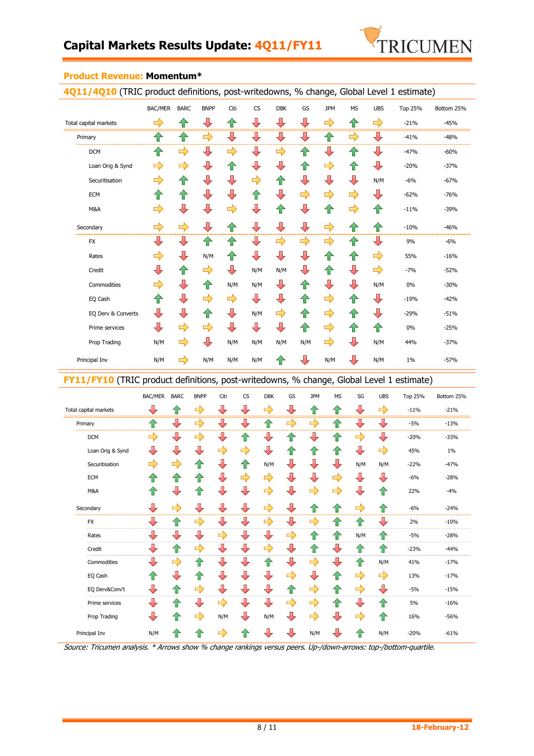

| 4Q11/4Q10 (TRIC product definitions, post-writedowns, % change, Global Level 1 estimate) |                         |                         |                         |               |               |                         |                          |                         |               |                         |         |                               |
|------------------------------------------------------------------------------------------|-------------------------|-------------------------|-------------------------|---------------|---------------|-------------------------|--------------------------|-------------------------|---------------|-------------------------|---------|-------------------------------|
|                                                                                          | <b>BAC/MER</b>          | <b>BARC</b>             | <b>BNPP</b>             | Citi          | CS            | <b>DBK</b>              | GS                       | <b>JPM</b>              | <b>MS</b>     | <b>UBS</b>              | Top 25% | Bottom 25%                    |
| Total capital markets                                                                    | ď                       | ∕₽                      | $\bigoplus$             | ⇧             | ⊕             | $\overline{\mathbf{L}}$ | $\overline{\mathcal{L}}$ | $\Rightarrow$           | ⇑             | $\Rightarrow$           | $-21%$  | $-45%$                        |
| Primary                                                                                  | 企                       | ♦                       | $\Rightarrow$           | ┺             | ┺             | ⇩                       | ┺                        | 企                       | $\Rightarrow$ | $\overline{\mathbb{U}}$ | $-41%$  | $-48%$                        |
| <b>DCM</b>                                                                               | ⇑                       | ⇨                       | ┺                       | $\Rightarrow$ | ┺             | $\Rightarrow$           | 企                        | $\overline{\mathbf{L}}$ | 4P            | ┺                       | $-47%$  | $-60%$                        |
| Loan Orig & Synd                                                                         | $\Rightarrow$           | $\Rightarrow$           | ⊕                       | ⇑             | ┺             | $\sqrt{2}$              | ⇑                        | $\Rightarrow$           | ⇑             | ┺                       | $-20%$  | $-37%$                        |
| Securitisation                                                                           | $\Rightarrow$           | ⇑                       | ⊕                       | ┺             | $\Rightarrow$ | ⇑                       | $\sqrt{2}$               | ┺                       | ┺             | N/M                     | $-6%$   | $-67%$                        |
| <b>ECM</b>                                                                               | ⇑                       | ⇑                       | ⇩                       | ⇩             | ⇑             | ⇩                       | $\Rightarrow$            | $\Rightarrow$           | $\Rightarrow$ | JĻ                      | $-62%$  | $-76%$                        |
| M&A                                                                                      | $\Rightarrow$           | $\overline{\mathbb{L}}$ | $\overline{\mathbb{U}}$ | $\Rightarrow$ | ⇩             | 企                       | $\color{red}$            | 一                       | $\Rightarrow$ | 仐                       | $-11%$  | $-39%$                        |
| Secondary                                                                                | $\Rightarrow$           | $\Rightarrow$           | $\overline{\mathbb{U}}$ | ⇑             | ⊕             | $\overline{\mathbb{U}}$ | $\sqrt{2}$               | $\Rightarrow$           | ⇑             | ⇑                       | $-10%$  | $-46%$<br>-------<br>-------- |
| <b>FX</b>                                                                                | ₩                       | ⊕                       | ⇑                       |               | ₩             | $\Rightarrow$           | $\Rightarrow$            | $\Rightarrow$           | 1             |                         | 9%      | $-6%$                         |
| Rates                                                                                    | $\Rightarrow$           | ┺                       | N/M                     | ⇑             | ┺             | $\overline{\mathbf{L}}$ | $\overline{\mathbb{U}}$  | ⇑                       | ⇑             | $\Rightarrow$           | 55%     | $-16%$                        |
| Credit                                                                                   | ┺                       | ץ                       | $\Rightarrow$           | ⊕             | N/M           | N/M                     | $\overline{\mathbf{L}}$  | ⇑                       | ⊕             | $\Rightarrow$           | $-7%$   | $-52%$                        |
| Commodities                                                                              | $\Rightarrow$           | $\color{red} \bigoplus$ | ⇑                       | N/M           | N/M           | ⊕                       | ⇑                        | $\overline{\mathbb{J}}$ | ⇩             | N/M                     | 0%      | $-30%$                        |
| EQ Cash                                                                                  | ⇑                       | ┺                       | $\Rightarrow$           | $\Rightarrow$ | ⊕             | $\mathbb J$             | ⇑                        | $\Rightarrow$           | ⇧             | ┺                       | $-19%$  | $-42%$                        |
| EQ Derv & Converts                                                                       | ⇩                       | ⊕                       | ⇑                       | ┺             | N/M           | $\Rightarrow$           | ⇑                        | $\Rightarrow$           | ⇧             | ┺                       | $-29%$  | $-51%$                        |
| Prime services                                                                           | $\overline{\mathbb{U}}$ | ⇨                       | ⇨                       | ┺             | ┺             | ⇩                       | ⇑                        | $\Rightarrow$           | ⇑             | ⇧                       | 0%      | $-25%$                        |
| Prop Trading                                                                             | N/M                     | ⇨                       | ⊕                       | N/M           | N/M           | N/M                     | N/M                      | ⇨                       | $\bigcup$     | N/M                     | 44%     | $-37%$                        |
| Principal Inv                                                                            | N/M                     | $\Rightarrow$           | N/M                     | N/M           | N/M           | ങ                       | $\overline{\mathbf{L}}$  | N/M                     |               | N/M                     | 1%      | $-57%$                        |

#### **Product Revenue: Momentum\***

**FY11/FY10** (TRIC product definitions, post-writedowns, % change, Global Level 1 estimate)

|                       | BAC/MER | <b>BARC</b>             | <b>BNPP</b>   | Citi                    | <b>CS</b>               | <b>DBK</b>    | GS                      | <b>JPM</b>              | <b>MS</b>     | SG                      | <b>UBS</b>    | <b>Top 25%</b> | Bottom 25% |
|-----------------------|---------|-------------------------|---------------|-------------------------|-------------------------|---------------|-------------------------|-------------------------|---------------|-------------------------|---------------|----------------|------------|
| Total capital markets |         | $\bigoplus$             | $\Rightarrow$ | ⊕                       | ⊕                       | $\Rightarrow$ | ⊕                       | ⇑                       | ⇑             | ┺                       | $\Rightarrow$ | $-11%$         | $-21%$     |
| Primary               | ⇑       | ⊕                       | $\Rightarrow$ | ⊕                       | $\overline{\mathbb{L}}$ | 企             | $\Rightarrow$           | $\Rightarrow$           | 企             | ┺                       | ⇩             | $-5%$          | $-13%$     |
| <b>DCM</b>            | ⇨       | J,                      | 다)            | $\overline{\mathbf{L}}$ | ▜▛                      | $\sqrt{2}$    | 42                      | ⊕                       | ⇧             | $\Rightarrow$           | ┺             | $-20%$         | $-33%$     |
| Loan Orig & Synd      | J       | $\overline{\mathbf{L}}$ | ⊕             | $\Rightarrow$           | ⇨                       | ⇩             | ⇑                       | ⇑                       | ⇑             | $\overline{J}$          | $\Rightarrow$ | 45%            | $1\%$      |
| Securitisation        | ⊏       | $\Rightarrow$           | 仆             | ┺                       | ⇑                       | N/M           | J                       | ⊕                       | ⇩             | N/M                     | N/M           | $-22%$         | $-47%$     |
| ECM                   | ⇑       | 仐                       | ∕⊩            | ⊕                       | $\Rightarrow$           | ⇨             | ⊕                       | $\overline{\mathbf{L}}$ | $\Rightarrow$ | ┺                       | ┺             | $-6%$          | $-28%$     |
| M&A                   | ⇑       | $\overline{\mathbf{L}}$ | 企             | $\overline{\mathbf{L}}$ | $\overline{\mathbb{L}}$ | $\Rightarrow$ | $\overline{\mathbf{L}}$ | $\Rightarrow$           | $\Rightarrow$ | $\overline{\mathbf{u}}$ | 个             | 22%            | $-4%$      |
| Secondary             | J       | $\Rightarrow$           |               |                         | 卫                       | $\Rightarrow$ | ┺                       | ⇑                       | 企             | $\Rightarrow$           | ⇑             | $-6%$          | $-24%$     |
| <b>FX</b>             | ┺       |                         |               |                         | ₩                       | $\Rightarrow$ | $\overline{\mathbf{L}}$ | $\Rightarrow$           | 1r            |                         | $\bigoplus$   | 2%             | $-10%$     |
| Rates                 | ⊕       | JI,                     | ₹             | $\Rightarrow$           | ⊕                       | ⊕             | $\Rightarrow$           | 仐                       | ⇑             | N/M                     | 1r            | $-5%$          | $-28%$     |
| Credit                | ┺       | ⇑                       | $\Rightarrow$ | ┺                       | ⊕                       | $\Rightarrow$ | $\overline{\mathbb{L}}$ | ⇑                       | ┺             | <b>17</b>               | ∕ि            | $-23%$         | $-44%$     |
| Commodities           | ⊕       | $\Rightarrow$           | 1r            | ┺                       | ⊕                       | ⇑             | $\overline{\mathbf{u}}$ | $\Rightarrow$           | ⊕             | 42                      | N/M           | 41%            | $-17%$     |
| EQ Cash               | ⇑       | ⇩                       | ∕ि            | ┺                       | ⊕                       | ⊕             | $\Rightarrow$           | $\sqrt{2}$              | ⇑             | $\Rightarrow$           | $\Rightarrow$ | 13%            | $-17%$     |
| EQ Derv&Conv't        | J       | ⇑                       | $\Rightarrow$ | $\overline{\mathbf{L}}$ | ⊕                       | ⊕             | $\bigcirc$              | $\Rightarrow$           | ⇧             | $\Rightarrow$           | ₩             | $-5%$          | $-15%$     |
| Prime services        | ₩       | $\bigoplus$             | J             | $\Rightarrow$           | ⇩                       | ⇩             | $\Rightarrow$           | $\Rightarrow$           | ⇑             | $\overline{\mathbf{L}}$ | ∕⊩            | 5%             | $-16%$     |
| Prop Trading          | J       | ∕ि                      | $\Rightarrow$ | N/M                     | ┺                       | N/M           | ⇩                       | $\Rightarrow$           | ⇩             | $\Rightarrow$           | ⇑             | 16%            | $-56%$     |
| Principal Inv         | N/M     | ץ                       |               | ⊏                       |                         |               |                         | N/M                     | ⇩             |                         | N/M           | $-20%$         | $-61%$     |

Source: Tricumen analysis. \* Arrows show % change rankings versus peers. Up-/down-arrows: top-/bottom-quartile.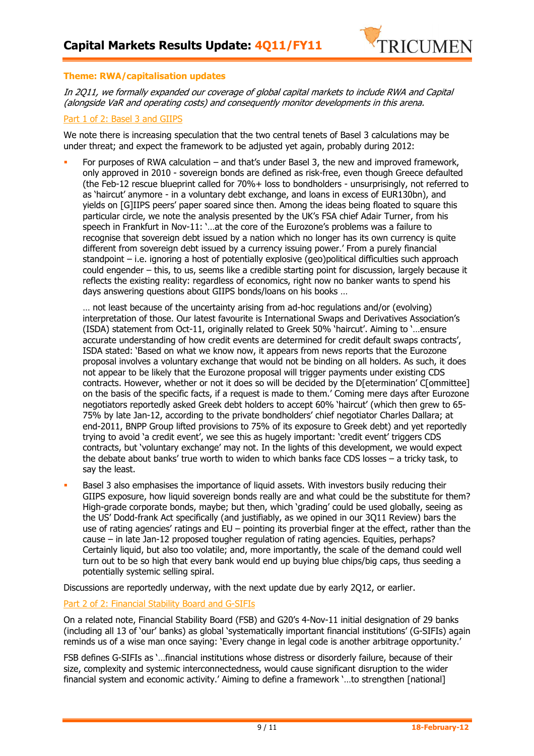

#### **Theme: RWA/capitalisation updates**

In 2Q11, we formally expanded our coverage of global capital markets to include RWA and Capital (alongside VaR and operating costs) and consequently monitor developments in this arena.

#### Part 1 of 2: Basel 3 and GIIPS

We note there is increasing speculation that the two central tenets of Basel 3 calculations may be under threat; and expect the framework to be adjusted yet again, probably during 2012:

 For purposes of RWA calculation – and that's under Basel 3, the new and improved framework, only approved in 2010 - sovereign bonds are defined as risk-free, even though Greece defaulted (the Feb-12 rescue blueprint called for 70%+ loss to bondholders - unsurprisingly, not referred to as 'haircut' anymore - in a voluntary debt exchange, and loans in excess of EUR130bn), and yields on [G]IIPS peers' paper soared since then. Among the ideas being floated to square this particular circle, we note the analysis presented by the UK's FSA chief Adair Turner, from his speech in Frankfurt in Nov-11: '…at the core of the Eurozone's problems was a failure to recognise that sovereign debt issued by a nation which no longer has its own currency is quite different from sovereign debt issued by a currency issuing power.' From a purely financial standpoint – i.e. ignoring a host of potentially explosive (geo)political difficulties such approach could engender – this, to us, seems like a credible starting point for discussion, largely because it reflects the existing reality: regardless of economics, right now no banker wants to spend his days answering questions about GIIPS bonds/loans on his books …

… not least because of the uncertainty arising from ad-hoc regulations and/or (evolving) interpretation of those. Our latest favourite is International Swaps and Derivatives Association's (ISDA) statement from Oct-11, originally related to Greek 50% 'haircut'. Aiming to '…ensure accurate understanding of how credit events are determined for credit default swaps contracts', ISDA stated: 'Based on what we know now, it appears from news reports that the Eurozone proposal involves a voluntary exchange that would not be binding on all holders. As such, it does not appear to be likely that the Eurozone proposal will trigger payments under existing CDS contracts. However, whether or not it does so will be decided by the D[etermination' C[ommittee] on the basis of the specific facts, if a request is made to them.' Coming mere days after Eurozone negotiators reportedly asked Greek debt holders to accept 60% 'haircut' (which then grew to 65- 75% by late Jan-12, according to the private bondholders' chief negotiator Charles Dallara; at end-2011, BNPP Group lifted provisions to 75% of its exposure to Greek debt) and yet reportedly trying to avoid 'a credit event', we see this as hugely important: 'credit event' triggers CDS contracts, but 'voluntary exchange' may not. In the lights of this development, we would expect the debate about banks' true worth to widen to which banks face CDS losses – a tricky task, to say the least.

 Basel 3 also emphasises the importance of liquid assets. With investors busily reducing their GIIPS exposure, how liquid sovereign bonds really are and what could be the substitute for them? High-grade corporate bonds, maybe; but then, which 'grading' could be used globally, seeing as the US' Dodd-frank Act specifically (and justifiably, as we opined in our 3Q11 Review) bars the use of rating agencies' ratings and EU – pointing its proverbial finger at the effect, rather than the cause – in late Jan-12 proposed tougher regulation of rating agencies. Equities, perhaps? Certainly liquid, but also too volatile; and, more importantly, the scale of the demand could well turn out to be so high that every bank would end up buying blue chips/big caps, thus seeding a potentially systemic selling spiral.

Discussions are reportedly underway, with the next update due by early 2Q12, or earlier.

### Part 2 of 2: Financial Stability Board and G-SIFIs

On a related note, Financial Stability Board (FSB) and G20's 4-Nov-11 initial designation of 29 banks (including all 13 of 'our' banks) as global 'systematically important financial institutions' (G-SIFIs) again reminds us of a wise man once saying: 'Every change in legal code is another arbitrage opportunity.'

FSB defines G-SIFIs as '…financial institutions whose distress or disorderly failure, because of their size, complexity and systemic interconnectedness, would cause significant disruption to the wider financial system and economic activity.' Aiming to define a framework '…to strengthen [national]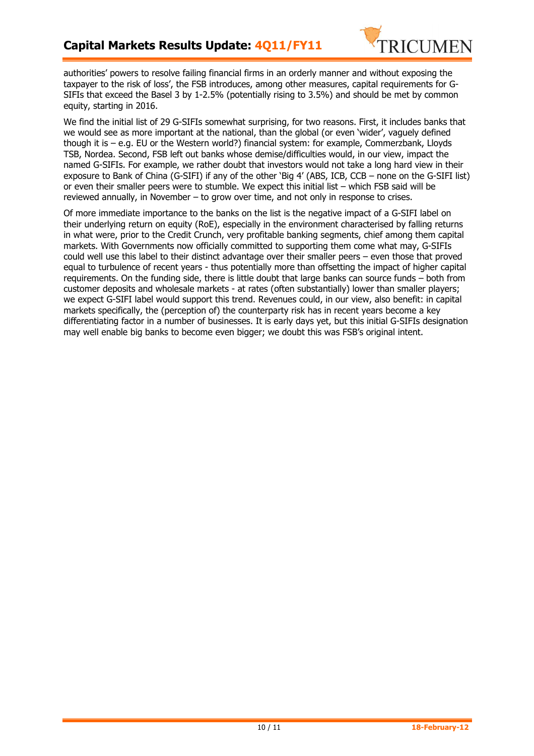

authorities' powers to resolve failing financial firms in an orderly manner and without exposing the taxpayer to the risk of loss', the FSB introduces, among other measures, capital requirements for G-SIFIs that exceed the Basel 3 by 1-2.5% (potentially rising to 3.5%) and should be met by common equity, starting in 2016.

We find the initial list of 29 G-SIFIs somewhat surprising, for two reasons. First, it includes banks that we would see as more important at the national, than the global (or even 'wider', vaguely defined though it is – e.g. EU or the Western world?) financial system: for example, Commerzbank, Lloyds TSB, Nordea. Second, FSB left out banks whose demise/difficulties would, in our view, impact the named G-SIFIs. For example, we rather doubt that investors would not take a long hard view in their exposure to Bank of China (G-SIFI) if any of the other 'Big 4' (ABS, ICB, CCB – none on the G-SIFI list) or even their smaller peers were to stumble. We expect this initial list – which FSB said will be reviewed annually, in November – to grow over time, and not only in response to crises.

Of more immediate importance to the banks on the list is the negative impact of a G-SIFI label on their underlying return on equity (RoE), especially in the environment characterised by falling returns in what were, prior to the Credit Crunch, very profitable banking segments, chief among them capital markets. With Governments now officially committed to supporting them come what may, G-SIFIs could well use this label to their distinct advantage over their smaller peers – even those that proved equal to turbulence of recent years - thus potentially more than offsetting the impact of higher capital requirements. On the funding side, there is little doubt that large banks can source funds – both from customer deposits and wholesale markets - at rates (often substantially) lower than smaller players; we expect G-SIFI label would support this trend. Revenues could, in our view, also benefit: in capital markets specifically, the (perception of) the counterparty risk has in recent years become a key differentiating factor in a number of businesses. It is early days yet, but this initial G-SIFIs designation may well enable big banks to become even bigger; we doubt this was FSB's original intent.